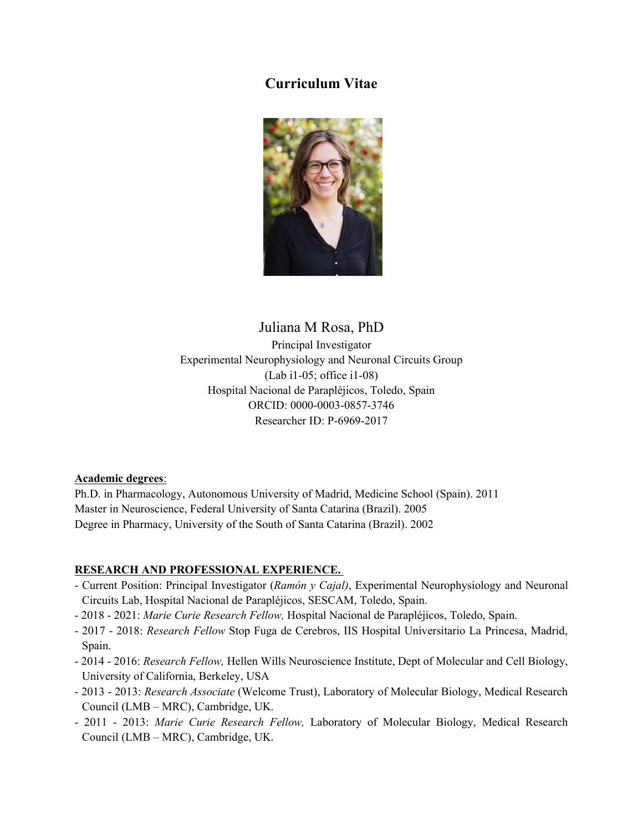# Curriculum Vitae



Juliana M Rosa, PhD Principal Investigator Experimental Neurophysiology and Neuronal Circuits Group (Lab i1-05; office i1-08) Hospital Nacional de Parapléjicos, Toledo, Spain ORCID: 0000-0003-0857-3746 Researcher ID: P-6969-2017

### Academic degrees :

Ph.D. in Pharmacology, Autonomous University of Madrid, Medicine School (Spain). 2011 Master in Neuroscience, Federal University of Santa Catarina (Brazil). 2005 Degree in Pharmacy, University of the South of Santa Catarina (Brazil). 2002

### RESEARCH AND PROFESSIONAL EXPERIENCE.

- Current Position: Principal Investigator (Ramón y Cajal), Experimental Neurophysiology and Neuronal Circuits Lab, Hospital Nacional de Parapléjicos, SESCAM, Toledo, Spain.
- 2018 2021: Marie Curie Research Fellow, Hospital Nacional de Parapléjicos, Toledo, Spain.
- 2017 2018: Research Fellow Stop Fuga de Cerebros, IIS Hospital Universitario La Princesa, Madrid, Spain.
- 2014 2016: Research Fellow, Hellen Wills Neuroscience Institute, Dept of Molecular and Cell Biology, University of California, Berkeley, USA
- 2013 2013: Research Associate (Welcome Trust), Laboratory of Molecular Biology, Medical Research Council (LMB – MRC), Cambridge, UK.
- 2011 2013: Marie Curie Research Fellow, Laboratory of Molecular Biology, Medical Research Council (LMB – MRC), Cambridge, UK.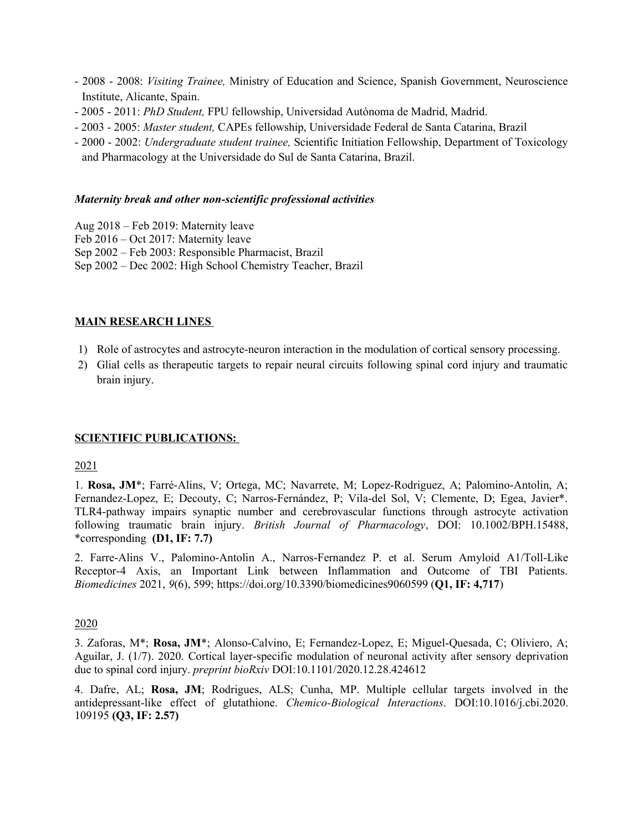- 2008 2008: Visiting Trainee, Ministry of Education and Science, Spanish Government, Neuroscience Institute, Alicante, Spain.
- 2005 2011: PhD Student, FPU fellowship, Universidad Autónoma de Madrid, Madrid.
- 2003 2005: Master student, CAPEs fellowship, Universidade Federal de Santa Catarina, Brazil
- 2000 2002: Undergraduate student trainee, Scientific Initiation Fellowship, Department of Toxicology and Pharmacology at the Universidade do Sul de Santa Catarina, Brazil.

#### Maternity break and other non-scientific professional activities

- Aug 2018 Feb 2019: Maternity leave
- Feb 2016 Oct 2017: Maternity leave
- Sep 2002 Feb 2003: Responsible Pharmacist, Brazil
- Sep 2002 Dec 2002: High School Chemistry Teacher, Brazil

#### MAIN RESEARCH LINES

- 1) Role of astrocytes and astrocyte-neuron interaction in the modulation of cortical sensory processing.
- 2) Glial cells as therapeutic targets to repair neural circuits following spinal cord injury and traumatic brain injury.

### SCIENTIFIC PUBLICATIONS:

#### 2021

1. Rosa, JM\*; Farré-Alins, V; Ortega, MC; Navarrete, M; Lopez-Rodriguez, A; Palomino-Antolin, A; Fernandez-Lopez, E; Decouty, C; Narros-Fernández, P; Vila-del Sol, V; Clemente, D; Egea, Javier\*. TLR4-pathway impairs synaptic number and cerebrovascular functions through astrocyte activation following traumatic brain injury. British Journal of Pharmacology, DOI: 10.1002/BPH.15488, \*corresponding (D1, IF: 7.7)

2. Farre-Alins V., Palomino-Antolin A., Narros-Fernandez P. et al. Serum Amyloid A1/Toll-Like Receptor-4 Axis, an Important Link between Inflammation and Outcome of TBI Patients. Biomedicines 2021, 9(6), 599; https://doi.org/10.3390/biomedicines9060599 (Q1, IF: 4,717)

#### 2020

3. Zaforas, M\*; Rosa, JM\*; Alonso-Calvino, E; Fernandez-Lopez, E; Miguel-Quesada, C; Oliviero, A; Aguilar, J. (1/7). 2020. Cortical layer-specific modulation of neuronal activity after sensory deprivation due to spinal cord injury. preprint bioRxiv DOI:10.1101/2020.12.28.424612

4. Dafre, AL; Rosa, JM; Rodrigues, ALS; Cunha, MP. Multiple cellular targets involved in the antidepressant-like effect of glutathione. Chemico-Biological Interactions. DOI:10.1016/j.cbi.2020. 109195 (Q3, IF: 2.57)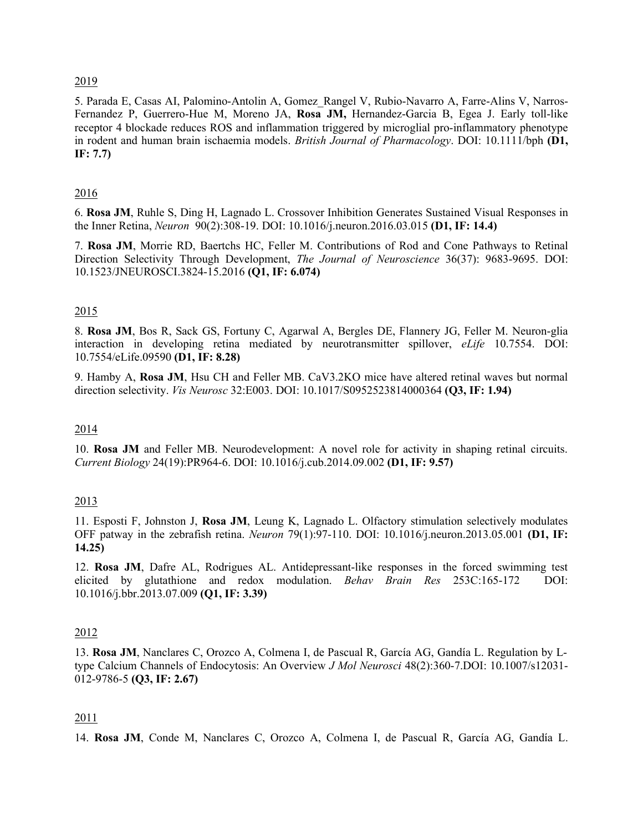#### 2019

5. Parada E, Casas AI, Palomino-Antolin A, Gomez\_Rangel V, Rubio-Navarro A, Farre-Alins V, Narros-Fernandez P, Guerrero-Hue M, Moreno JA, Rosa JM, Hernandez-Garcia B, Egea J. Early toll-like receptor 4 blockade reduces ROS and inflammation triggered by microglial pro-inflammatory phenotype in rodent and human brain ischaemia models. British Journal of Pharmacology. DOI: 10.1111/bph (D1, IF: 7.7)

### 2016

6. Rosa JM, Ruhle S, Ding H, Lagnado L. Crossover Inhibition Generates Sustained Visual Responses in the Inner Retina, Neuron 90(2):308-19. DOI: 10.1016/j.neuron.2016.03.015 (D1, IF: 14.4)

7. Rosa JM, Morrie RD, Baertchs HC, Feller M. Contributions of Rod and Cone Pathways to Retinal Direction Selectivity Through Development, The Journal of Neuroscience 36(37): 9683-9695. DOI: 10.1523/JNEUROSCI.3824-15.2016 (Q1, IF: 6.074)

### 2015

8. Rosa JM, Bos R, Sack GS, Fortuny C, Agarwal A, Bergles DE, Flannery JG, Feller M. Neuron-glia interaction in developing retina mediated by neurotransmitter spillover, *eLife* 10.7554. DOI: 10.7554/eLife.09590 (D1, IF: 8.28)

9. Hamby A, Rosa JM, Hsu CH and Feller MB. CaV3.2KO mice have altered retinal waves but normal direction selectivity. *Vis Neurosc* 32:E003. DOI: 10.1017/S0952523814000364 (Q3, IF: 1.94)

#### 2014

10. Rosa JM and Feller MB. Neurodevelopment: A novel role for activity in shaping retinal circuits. Current Biology 24(19):PR964-6. DOI: 10.1016/j.cub.2014.09.002 (D1, IF: 9.57)

#### 2013

11. Esposti F, Johnston J, Rosa JM, Leung K, Lagnado L. Olfactory stimulation selectively modulates OFF patway in the zebrafish retina. Neuron 79(1):97-110. DOI: 10.1016/j.neuron.2013.05.001 (D1, IF: 14.25)

12. Rosa JM, Dafre AL, Rodrigues AL. Antidepressant-like responses in the forced swimming test elicited by glutathione and redox modulation. Behav Brain Res 253C:165-172 DOI: 10.1016/j.bbr.2013.07.009 (Q1, IF: 3.39)

#### 2012

13. Rosa JM, Nanclares C, Orozco A, Colmena I, de Pascual R, García AG, Gandía L. Regulation by Ltype Calcium Channels of Endocytosis: An Overview J Mol Neurosci 48(2):360-7.DOI: 10.1007/s12031- 012-9786-5 (Q3, IF: 2.67)

#### 2011

14. Rosa JM, Conde M, Nanclares C, Orozco A, Colmena I, de Pascual R, García AG, Gandía L.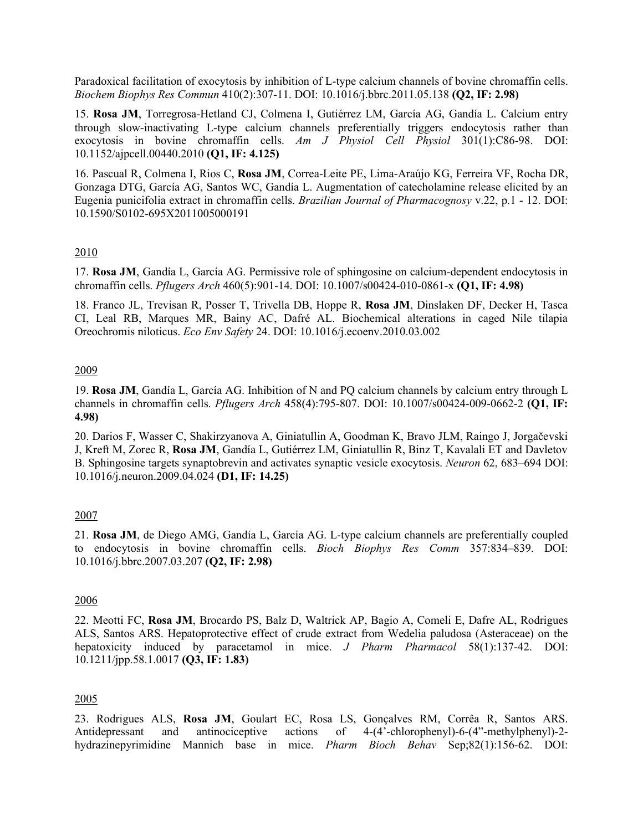Paradoxical facilitation of exocytosis by inhibition of L-type calcium channels of bovine chromaffin cells. Biochem Biophys Res Commun 410(2):307-11. DOI: 10.1016/j.bbrc.2011.05.138 (Q2, IF: 2.98)

15. Rosa JM, Torregrosa-Hetland CJ, Colmena I, Gutiérrez LM, García AG, Gandía L. Calcium entry through slow-inactivating L-type calcium channels preferentially triggers endocytosis rather than exocytosis in bovine chromaffin cells.  $Am$  J Physiol Cell Physiol 301(1):C86-98. DOI: 10.1152/ajpcell.00440.2010 (Q1, IF: 4.125)

16. Pascual R, Colmena I, Rios C, Rosa JM, Correa-Leite PE, Lima-Araújo KG, Ferreira VF, Rocha DR, Gonzaga DTG, García AG, Santos WC, Gandía L. Augmentation of catecholamine release elicited by an Eugenia punicifolia extract in chromaffin cells. Brazilian Journal of Pharmacognosy v.22, p.1 - 12. DOI: 10.1590/S0102-695X2011005000191

#### 2010

17. Rosa JM, Gandía L, García AG. Permissive role of sphingosine on calcium-dependent endocytosis in chromaffin cells. Pflugers Arch 460(5):901-14. DOI: 10.1007/s00424-010-0861-x (Q1, IF: 4.98)

18. Franco JL, Trevisan R, Posser T, Trivella DB, Hoppe R, Rosa JM, Dinslaken DF, Decker H, Tasca CI, Leal RB, Marques MR, Bainy AC, Dafré AL. Biochemical alterations in caged Nile tilapia Oreochromis niloticus. Eco Env Safety 24. DOI: 10.1016/j.ecoenv.2010.03.002

#### 2009

19. Rosa JM, Gandía L, García AG. Inhibition of N and PQ calcium channels by calcium entry through L channels in chromaffin cells. Pflugers Arch 458(4):795-807. DOI: 10.1007/s00424-009-0662-2 (Q1, IF: 4.98)

20. Darios F, Wasser C, Shakirzyanova A, Giniatullin A, Goodman K, Bravo JLM, Raingo J, Jorgačevski J, Kreft M, Zorec R, Rosa JM, Gandía L, Gutiérrez LM, Giniatullin R, Binz T, Kavalali ET and Davletov B. Sphingosine targets synaptobrevin and activates synaptic vesicle exocytosis. Neuron 62, 683–694 DOI: 10.1016/j.neuron.2009.04.024 (D1, IF: 14.25)

### 2007

21. Rosa JM, de Diego AMG, Gandía L, García AG. L-type calcium channels are preferentially coupled to endocytosis in bovine chromaffin cells. Bioch Biophys Res Comm 357:834–839. DOI: 10.1016/j.bbrc.2007.03.207 (Q2, IF: 2.98)

#### 2006

22. Meotti FC, Rosa JM, Brocardo PS, Balz D, Waltrick AP, Bagio A, Comeli E, Dafre AL, Rodrigues ALS, Santos ARS. Hepatoprotective effect of crude extract from Wedelia paludosa (Asteraceae) on the hepatoxicity induced by paracetamol in mice. J Pharm Pharmacol 58(1):137-42. DOI: 10.1211/jpp.58.1.0017 (Q3, IF: 1.83)

### 2005

23. Rodrigues ALS, Rosa JM, Goulart EC, Rosa LS, Gonçalves RM, Corrêa R, Santos ARS. Antidepressant and antinociceptive actions of 4-(4'-chlorophenyl)-6-(4"-methylphenyl)-2hydrazinepyrimidine Mannich base in mice. Pharm Bioch Behav Sep;82(1):156-62. DOI: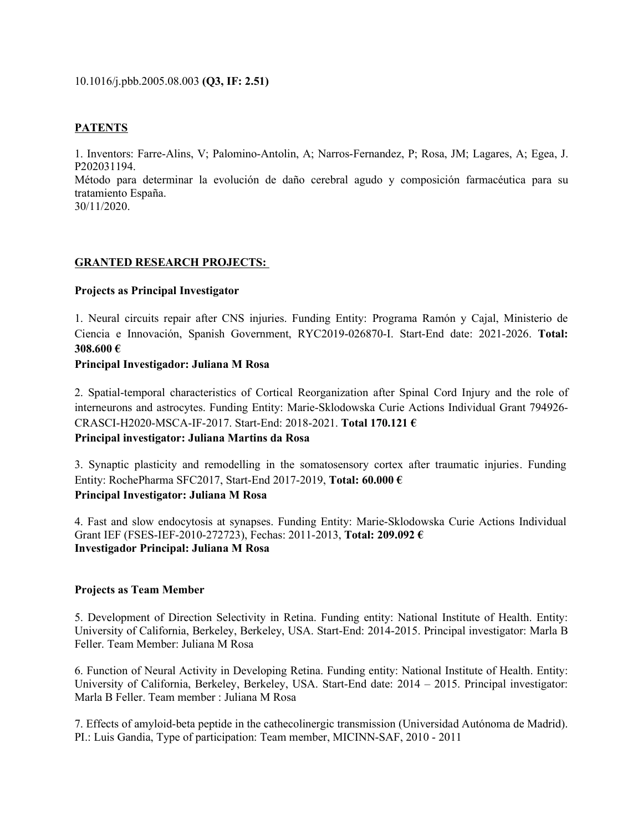#### 10.1016/j.pbb.2005.08.003 (Q3, IF: 2.51)

#### **PATENTS**

1. Inventors: Farre-Alins, V; Palomino-Antolin, A; Narros-Fernandez, P; Rosa, JM; Lagares, A; Egea, J. P202031194.

Método para determinar la evolución de daño cerebral agudo y composición farmacéutica para su tratamiento España.

30/11/2020.

#### GRANTED RESEARCH PROJECTS:

#### Projects as Principal Investigator

1. Neural circuits repair after CNS injuries. Funding Entity: Programa Ramón y Cajal, Ministerio de Ciencia e Innovación, Spanish Government, RYC2019-026870-I. Start-End date: 2021-2026. Total: 308.600 €

#### Principal Investigador: Juliana M Rosa

2. Spatial-temporal characteristics of Cortical Reorganization after Spinal Cord Injury and the role of interneurons and astrocytes. Funding Entity: Marie-Sklodowska Curie Actions Individual Grant 794926- CRASCI-H2020-MSCA-IF-2017. Start-End: 2018-2021. Total 170.121 €

### Principal investigator: Juliana Martins da Rosa

3. Synaptic plasticity and remodelling in the somatosensory cortex after traumatic injuries. Funding Entity: RochePharma SFC2017, Start-End 2017-2019, Total: 60.000 € Principal Investigator: Juliana M Rosa

4. Fast and slow endocytosis at synapses. Funding Entity: Marie-Sklodowska Curie Actions Individual Grant IEF (FSES-IEF-2010-272723), Fechas: 2011-2013, Total: 209.092 € Investigador Principal: Juliana M Rosa

#### Projects as Team Member

5. Development of Direction Selectivity in Retina. Funding entity: National Institute of Health. Entity: University of California, Berkeley, Berkeley, USA. Start-End: 2014-2015. Principal investigator: Marla B Feller. Team Member: Juliana M Rosa

6. Function of Neural Activity in Developing Retina. Funding entity: National Institute of Health. Entity: University of California, Berkeley, Berkeley, USA. Start-End date: 2014 – 2015. Principal investigator: Marla B Feller. Team member : Juliana M Rosa

7. Effects of amyloid-beta peptide in the cathecolinergic transmission (Universidad Autónoma de Madrid). PI.: Luis Gandia, Type of participation: Team member, MICINN-SAF, 2010 - 2011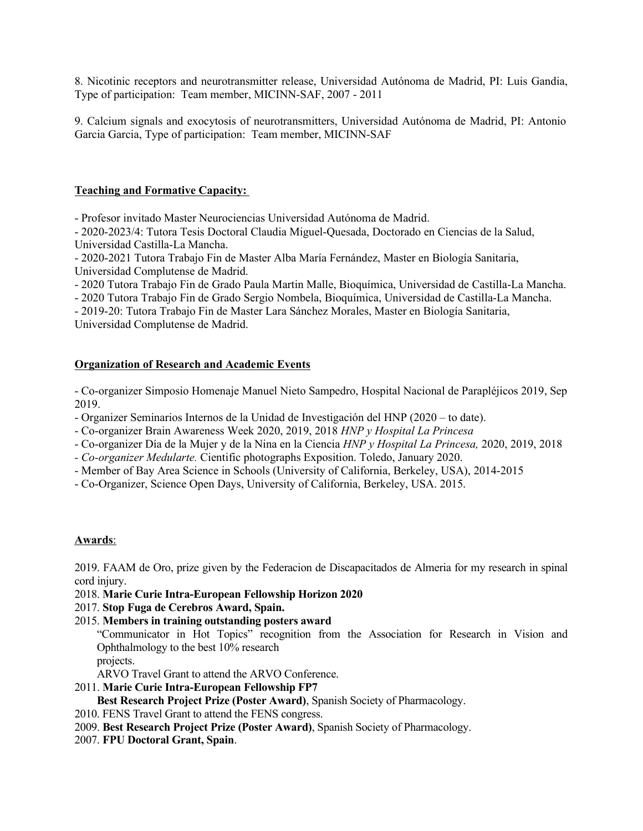8. Nicotinic receptors and neurotransmitter release, Universidad Autónoma de Madrid, PI: Luis Gandia, Type of participation: Team member, MICINN-SAF, 2007 - 2011

9. Calcium signals and exocytosis of neurotransmitters, Universidad Autónoma de Madrid, PI: Antonio Garcia Garcia, Type of participation: Team member, MICINN-SAF

### Teaching and Formative Capacity:

- Profesor invitado Master Neurociencias Universidad Autónoma de Madrid.

- 2020-2023/4: Tutora Tesis Doctoral Claudia Miguel-Quesada, Doctorado en Ciencias de la Salud, Universidad Castilla-La Mancha.

- 2020-2021 Tutora Trabajo Fin de Master Alba María Fernández, Master en Biología Sanitaria, Universidad Complutense de Madrid.

- 2020 Tutora Trabajo Fin de Grado Paula Martin Malle, Bioquímica, Universidad de Castilla-La Mancha.

- 2020 Tutora Trabajo Fin de Grado Sergio Nombela, Bioquímica, Universidad de Castilla-La Mancha.

- 2019-20: Tutora Trabajo Fin de Master Lara Sánchez Morales, Master en Biología Sanitaria, Universidad Complutense de Madrid.

#### Organization of Research and Academic Events

- Co-organizer Simposio Homenaje Manuel Nieto Sampedro, Hospital Nacional de Parapléjicos 2019, Sep 2019.

- Organizer Seminarios Internos de la Unidad de Investigación del HNP (2020 – to date).

- Co-organizer Brain Awareness Week 2020, 2019, 2018 HNP y Hospital La Princesa
- Co-organizer Día de la Mujer y de la Nina en la Ciencia HNP y Hospital La Princesa, 2020, 2019, 2018
- Co-organizer Medularte. Cientific photographs Exposition. Toledo, January 2020.
- Member of Bay Area Science in Schools (University of California, Berkeley, USA), 2014-2015
- Co-Organizer, Science Open Days, University of California, Berkeley, USA. 2015.

#### Awards:

2019. FAAM de Oro, prize given by the Federacion de Discapacitados de Almeria for my research in spinal cord injury.

#### 2018. Marie Curie Intra-European Fellowship Horizon 2020

### 2017. Stop Fuga de Cerebros Award, Spain.

2015. Members in training outstanding posters award

"Communicator in Hot Topics" recognition from the Association for Research in Vision and Ophthalmology to the best 10% research

projects.

ARVO Travel Grant to attend the ARVO Conference.

### 2011. Marie Curie Intra-European Fellowship FP7

Best Research Project Prize (Poster Award), Spanish Society of Pharmacology.

2010. FENS Travel Grant to attend the FENS congress.

- 2009. Best Research Project Prize (Poster Award), Spanish Society of Pharmacology.
- 2007. FPU Doctoral Grant, Spain.